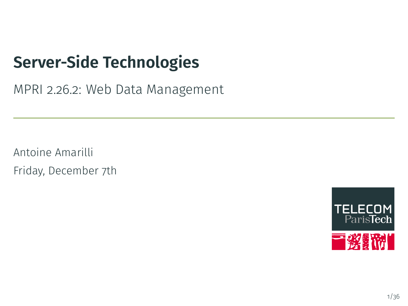# **Server-Side Technologies**

MPRI 2.26.2: Web Data Management

Antoine Amarilli Friday, December 7th

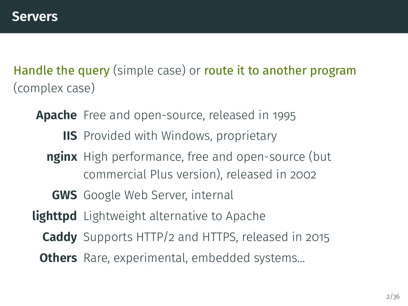<span id="page-1-0"></span>Handle the query (simple case) or route it to another program (complex case)

**Apache** Free and open-source, released in 1995

- **IIS** Provided with Windows, proprietary
- **nginx** High performance, free and open-source (but commercial Plus version), released in 2002
	- **GWS** Google Web Server, internal
- **lighttpd** Lightweight alternative to Apache
	- **Caddy** Supports HTTP/2 and HTTPS, released in 2015
	- **Others** Rare, experimental, embedded systems...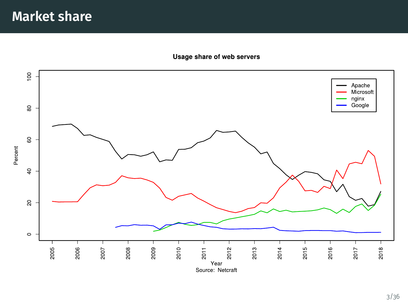#### Usage share of web servers

<span id="page-2-0"></span>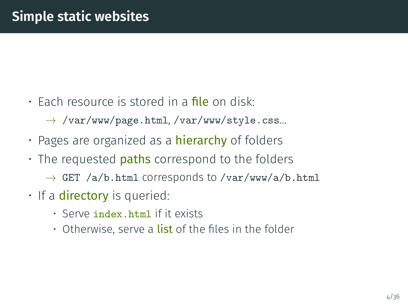- Each resource is stored in a **file** on disk:
	- $\rightarrow$  /var/www/page.html, /var/www/style.css...
- Pages are organized as a **hierarchy** of folders
- $\cdot$  The requested **paths** correspond to the folders
	- $\rightarrow$  GET /a/b.html corresponds to /var/www/a/b.html
- $\cdot$  If a **directory** is queried:
	- Serve index.html if it exists
	- Otherwise, serve a **list** of the files in the folder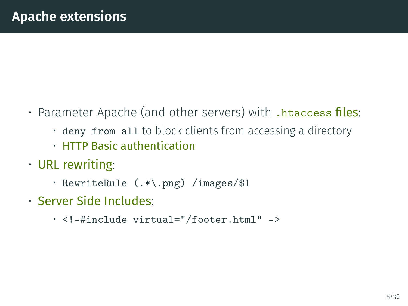- Parameter Apache (and other servers) with .htaccess files:
	- deny from all to block clients from accessing a directory
	- HTTP Basic authentication
- URL rewriting:
	- RewriteRule (.\*\.png) /images/\$1
- Server Side Includes:
	- <!–#include virtual="/footer.html" –>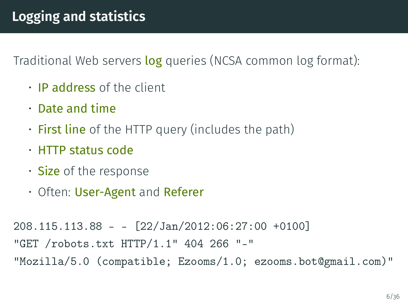Traditional Web servers log queries (NCSA common log format):

- IP address of the client
- Date and time
- $\cdot$  First line of the HTTP query (includes the path)
- HTTP status code
- Size of the response
- Often: User-Agent and Referer

```
208.115.113.88 - - [22/Jan/2012:06:27:00 +0100]
"GET /robots.txt HTTP/1.1" 404 266 "-"
"Mozilla/5.0 (compatible; Ezooms/1.0; ezooms.bot@gmail.com)"
```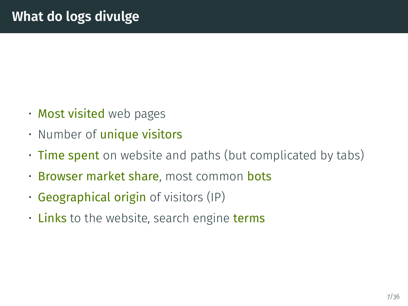- Most visited web pages
- Number of *unique* visitors
- Time spent on website and paths (but complicated by tabs)
- Browser market share, most common bots
- $\cdot$  Geographical origin of visitors (IP)
- $\cdot$  Links to the website, search engine terms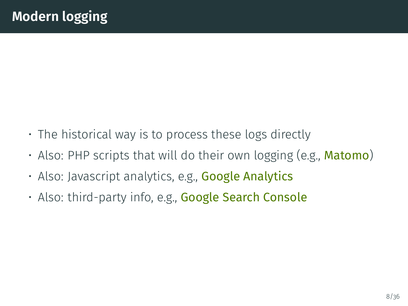- The historical way is to process these logs directly
- Also: PHP scripts that will do their own logging (e.g., **Matomo**)
- Also: Javascript analytics, e.g., Google Analytics
- Also: third-party info, e.g., **Google Search Console**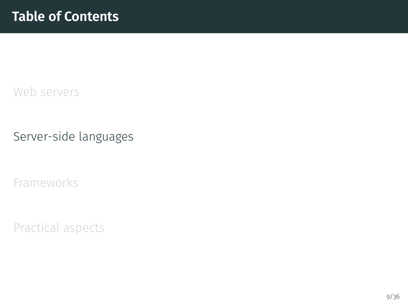<span id="page-8-0"></span>[Web servers](#page-1-0)

[Server-side languages](#page-8-0)

[Frameworks](#page-14-0)

[Practical aspects](#page-24-0)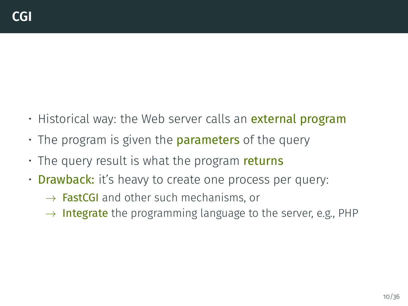- Historical way: the Web server calls an **external program**
- $\cdot$  The program is given the **parameters** of the query
- $\cdot$  The query result is what the program returns
- **Drawback:** it's heavy to create one process per query:
	- $\rightarrow$  **FastCGI** and other such mechanisms, or
	- $\rightarrow$  Integrate the programming language to the server, e.g., PHP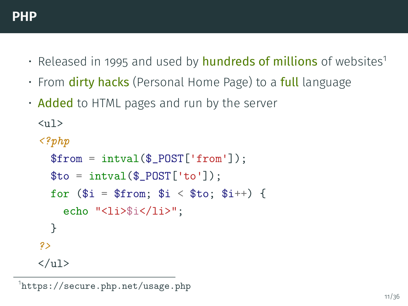- Released in 1995 and used by **hundreds of millions** of websites<sup>1</sup>
- From **dirty hacks** (Personal Home Page) to a **full** language
- Added to HTML pages and run by the server

 $\langle 11 \rangle$ 

```
<?php
  $from = interval($_POST['from'];
  $to = interval($_POST['to']);
  for ($i = $from; $i < $to; $i++) {
    echo "<li>$i</li>";
  }
?>
\langle/ul\rangle
```
1 <https://secure.php.net/usage.php>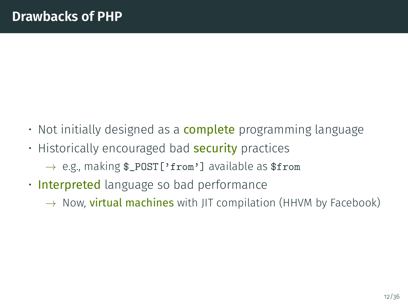- Not initially designed as a **complete** programming language
- Historically encouraged bad **security** practices
	- $\rightarrow$  e.g., making \$\_POST['from'] available as \$from
- Interpreted language so bad performance
	- $\rightarrow$  Now, **virtual machines** with JIT compilation (HHVM by Facebook)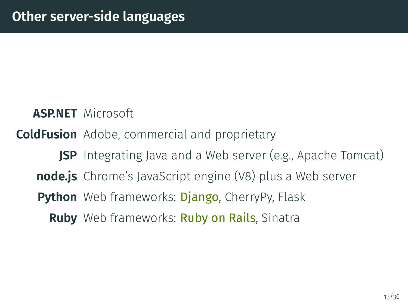**ASP.NET** Microsoft

**ColdFusion** Adobe, commercial and proprietary

**JSP** Integrating Java and a Web server (e.g., Apache Tomcat)

**node.js** Chrome's JavaScript engine (V8) plus a Web server

**Python** Web frameworks: **Django**, CherryPy, Flask

**Ruby** Web frameworks: Ruby on Rails, Sinatra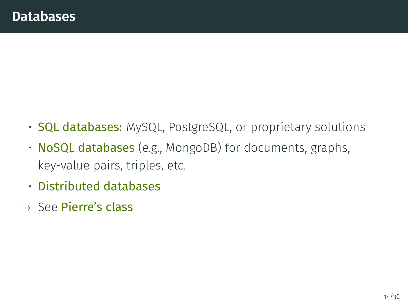- **SQL databases:** MySQL, PostgreSQL, or proprietary solutions
- NoSQL databases (e.g., MongoDB) for documents, graphs, key-value pairs, triples, etc.
- Distributed databases
- $\rightarrow$  See Pierre's class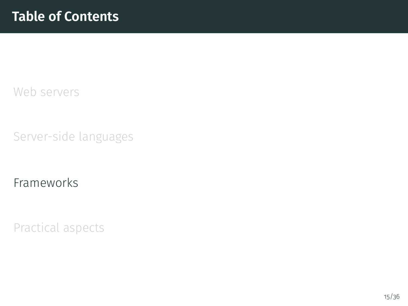<span id="page-14-0"></span>[Web servers](#page-1-0)

[Server-side languages](#page-8-0)

[Frameworks](#page-14-0)

[Practical aspects](#page-24-0)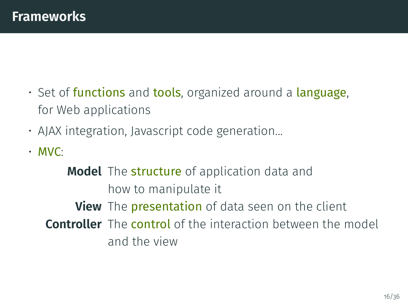- $\cdot$  Set of functions and tools, organized around a language, for Web applications
- AJAX integration, Javascript code generation...
- MVC:

**Model** The structure of application data and how to manipulate it **View** The **presentation** of data seen on the client **Controller** The control of the interaction between the model and the view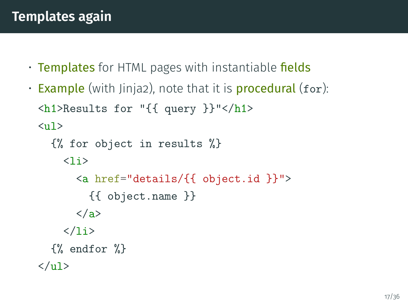- Templates for HTML pages with instantiable fields
- **Example** (with Jinja2), note that it is **procedural** (for):  $\hbox{\mbox{{\small  
Ch1>Results for "}}$  (query }}"</h1>  $\langle u \rangle$

```
{% for object in results %}
     \langleli\rangle<a href="details/{{ object.id }}">
           {{ object.name }}
        </a>
     \langle/li\rangle{% endfor %}
\langle \text{u1} \rangle
```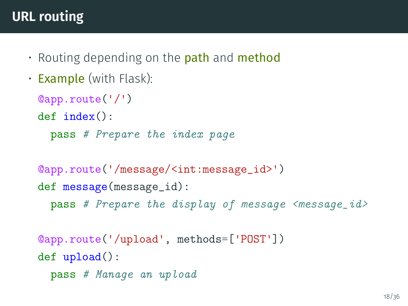# **URL routing**

- Routing depending on the **path** and **method**
- Example (with Flask):

```
@app.route('/')
def index():
  pass # Prepare the index page
```

```
@app.route('/message/<int:message_id>')
def message(message_id):
  pass # Prepare the display of message \langle message_id\rangle
```

```
@app.route('/upload', methods=['POST'])
def upload():
  pass # Manage an upload
```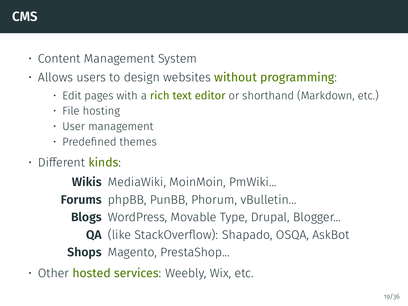- Content Management System
- Allows users to design websites without programming:
	- $\cdot$  Edit pages with a rich text editor or shorthand (Markdown, etc.)
	- File hosting
	- User management
	- Predefined themes
- $\cdot$  Different kinds:

**Wikis** MediaWiki, MoinMoin, PmWiki...

**Forums** phpBB, PunBB, Phorum, vBulletin...

**Blogs** WordPress, Movable Type, Drupal, Blogger...

**QA** (like StackOverflow): Shapado, OSQA, AskBot

**Shops** Magento, PrestaShop...

• Other **hosted services**: Weebly, Wix, etc.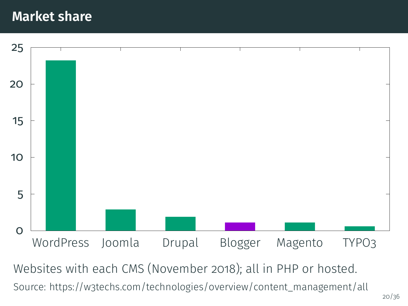#### **Market share**



Websites with each CMS (November 2018); all in PHP or hosted. Source: [https://w3techs.com/technologies/overview/content\\_management/all](https://w3techs.com/technologies/overview/content_management/all)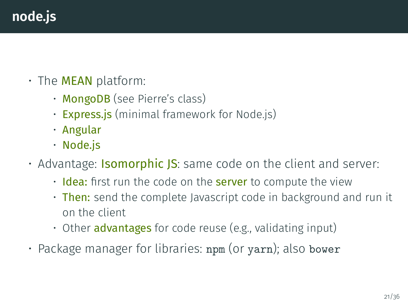# **node.js**

- $\cdot$  The **MEAN** platform:
	- MongoDB (see Pierre's class)
	- **Express.js** (minimal framework for Node.js)
	- Angular
	- Node.js
- Advantage: **Isomorphic JS**: same code on the client and server:
	- $\cdot$  Idea: first run the code on the server to compute the view
	- Then: send the complete Javascript code in background and run it on the client
	- Other **advantages** for code reuse (e.g., validating input)
- Package manager for libraries: npm (or yarn); also bower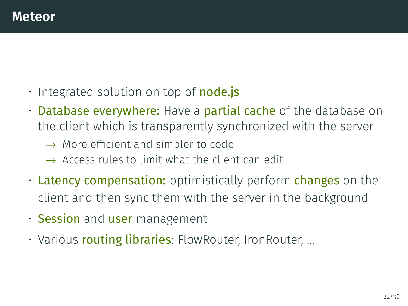- $\cdot$  Integrated solution on top of **node.js**
- Database everywhere: Have a partial cache of the database on the client which is transparently synchronized with the server
	- $\rightarrow$  More efficient and simpler to code
	- $\rightarrow$  Access rules to limit what the client can edit
- Latency compensation: optimistically perform changes on the client and then sync them with the server in the background
- Session and user management
- Various routing libraries: FlowRouter, IronRouter, ...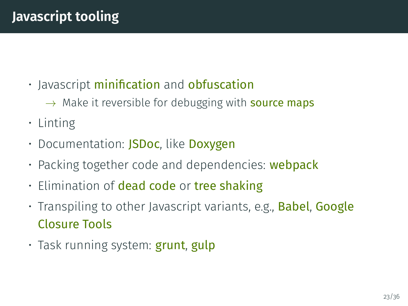- Javascript minification and obfuscation
	- $\rightarrow$  Make it reversible for debugging with **source maps**
- Linting
- Documentation: **JSDoc**, like **Doxygen**
- Packing together code and dependencies: **webpack**
- Elimination of dead code or tree shaking
- Transpiling to other Javascript variants, e.g., **Babel, Google** Closure Tools
- Task running system: **grunt, gulp**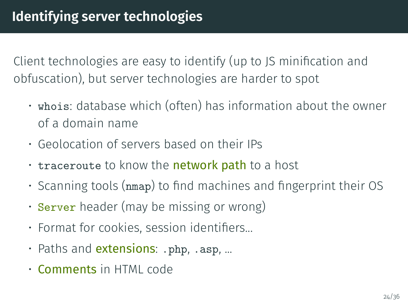Client technologies are easy to identify (up to JS minication and obfuscation), but server technologies are harder to spot

- whois: database which (often) has information about the owner of a domain name
- Geolocation of servers based on their IPs
- traceroute to know the **network path** to a host
- $\cdot$  Scanning tools ( $nmap$ ) to find machines and fingerprint their OS
- Server header (may be missing or wrong)
- $\cdot$  Format for cookies, session identifiers...
- Paths and **extensions**: .php, .asp, ...
- Comments in HTML code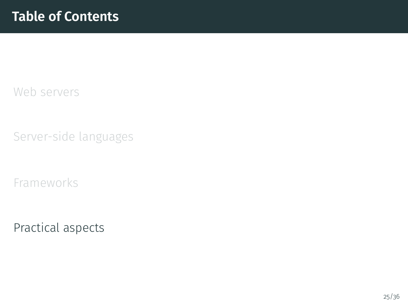<span id="page-24-0"></span>[Web servers](#page-1-0)

[Server-side languages](#page-8-0)

[Frameworks](#page-14-0)

[Practical aspects](#page-24-0)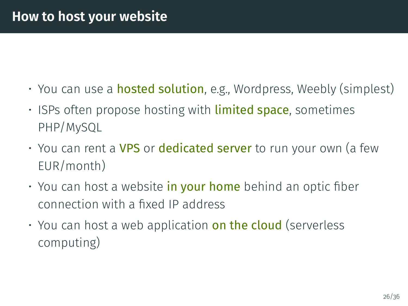- You can use a **hosted solution**, e.g., Wordpress, Weebly (simplest)
- ISPs often propose hosting with **limited space**, sometimes PHP/MySQL
- You can rent a VPS or dedicated server to run your own (a few EUR/month)
- $\cdot$  You can host a website in your home behind an optic fiber connection with a fixed IP address
- $\cdot$  You can host a web application on the cloud (serverless computing)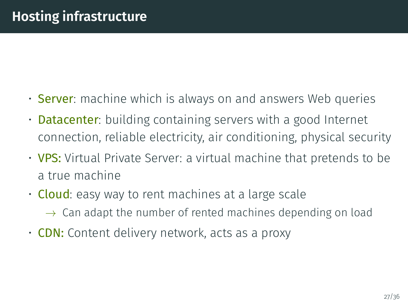- **Server**: machine which is always on and answers Web queries
- **Datacenter**: building containing servers with a good Internet connection, reliable electricity, air conditioning, physical security
- VPS: Virtual Private Server: a virtual machine that pretends to be a true machine
- $\cdot$  Cloud: easy way to rent machines at a large scale
	- $\rightarrow$  Can adapt the number of rented machines depending on load
- **CDN:** Content delivery network, acts as a proxy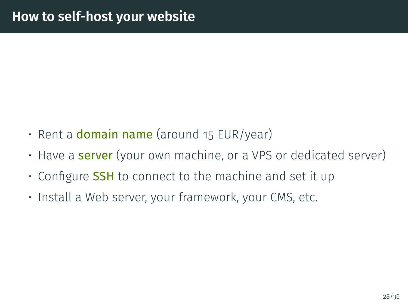- $\cdot$  Rent a **domain name** (around 15 EUR/year)
- Have a **server** (your own machine, or a VPS or dedicated server)
- Configure **SSH** to connect to the machine and set it up
- Install a Web server, your framework, your CMS, etc.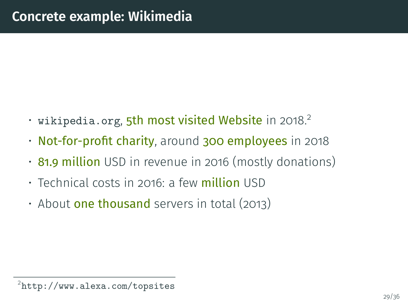- $\cdot$  wikipedia.org, 5th most visited Website in 2018.<sup>2</sup>
- Not-for-profit charity, around 300 employees in 2018
- 81.9 million USD in revenue in 2016 (mostly donations)
- Technical costs in 2016: a few **million** USD
- About **one thousand** servers in total (2013)

<sup>2</sup> <http://www.alexa.com/topsites>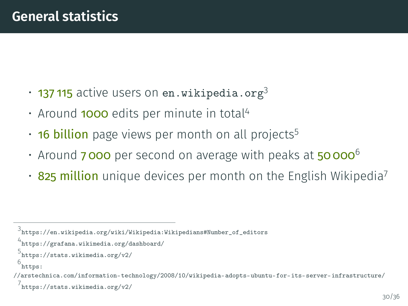- $\cdot$  137 115 active users on <en.wikipedia.org><sup>3</sup>
- Around **1000** edits per minute in total<sup>4</sup>
- $\cdot$  16 billion page views per month on all projects<sup>5</sup>
- Around **7000** per second on average with peaks at 50 000 $^6$
- $\cdot$  825 million unique devices per month on the English Wikipedia<sup>7</sup>

```
5
https://stats.wikimedia.org/v2/
```

```
6
 https:
```

```
//arstechnica.com/information-technology/2008/10/wikipedia-adopts-ubuntu-for-its-server-infrastructure/
 7
https://stats.wikimedia.org/v2/
```
<sup>3</sup> [https://en.wikipedia.org/wiki/Wikipedia:Wikipedians#Number\\_of\\_editors](https://en.wikipedia.org/wiki/Wikipedia:Wikipedians#Number_of_editors)

<sup>4</sup> <https://grafana.wikimedia.org/dashboard/>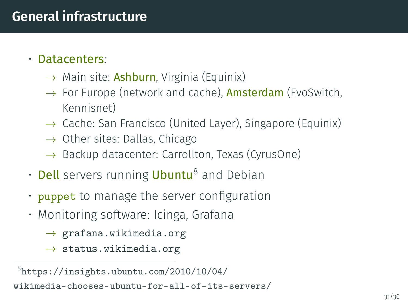#### **General infrastructure**

#### • Datacenters:

- $\rightarrow$  Main site: **Ashburn**, Virginia (Equinix)
- $\rightarrow$  For Europe (network and cache), **Amsterdam** (EvoSwitch, Kennisnet)
- $\rightarrow$  Cache: San Francisco (United Layer), Singapore (Equinix)
- $\rightarrow$  Other sites: Dallas, Chicago
- $\rightarrow$  Backup datacenter: Carrollton, Texas (CyrusOne)
- $\cdot$  Dell servers running Ubuntu<sup>8</sup> and Debian
- $\cdot$  puppet to manage the server configuration
- Monitoring software: Icinga, Grafana
	- $\rightarrow$  <grafana.wikimedia.org>
	- $\rightarrow$  <status.wikimedia.org>

 $8$ [https://insights.ubuntu.com/2010/10/04/](https://insights.ubuntu.com/2010/10/04/wikimedia-chooses-ubuntu-for-all-of-its-servers/) [wikimedia-chooses-ubuntu-for-all-of-its-servers/](https://insights.ubuntu.com/2010/10/04/wikimedia-chooses-ubuntu-for-all-of-its-servers/)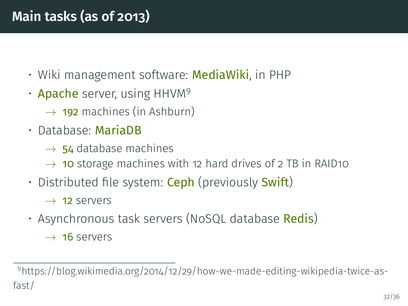- Wiki management software: MediaWiki, in PHP
- **Apache** server, using HHVM<sup>9</sup>
	- $\rightarrow$  192 machines (in Ashburn)
- Database: MariaDB
	- $\rightarrow$  54 database machines
	- $\rightarrow$  10 storage machines with 12 hard drives of 2 TB in RAID10
- Distributed file system: **Ceph** (previously **Swift**)
	- $\rightarrow$  12 servers
- Asynchronous task servers (NoSQL database Redis)
	- $\rightarrow$  16 servers

<sup>9</sup>https://blog.wikimedia.org/2014/12/29/how-we-made-editing-wikipedia-twice-asfast/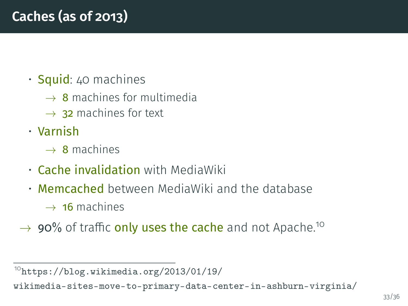### • Squid: 40 machines

- $\rightarrow$  8 machines for multimedia
- $\rightarrow$  32 machines for text
- Varnish
	- $\rightarrow$  8 machines
- Cache invalidation with MediaWiki
- Memcached between MediaWiki and the database
	- $\rightarrow$  16 machines
- $\rightarrow$  90% of traffic only uses the cache and not Apache.<sup>10</sup>

 $10$ [https://blog.wikimedia.org/2013/01/19/](https://blog.wikimedia.org/2013/01/19/wikimedia-sites-move-to-primary-data-center-in-ashburn-virginia/)

[wikimedia-sites-move-to-primary-data-center-in-ashburn-virginia/](https://blog.wikimedia.org/2013/01/19/wikimedia-sites-move-to-primary-data-center-in-ashburn-virginia/)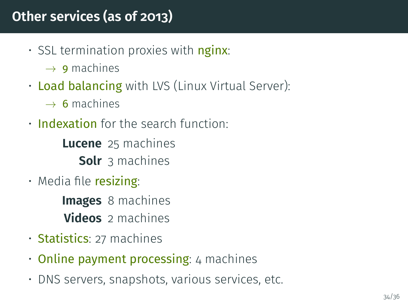### **Other services (as of 2013)**

- SSL termination proxies with  $\frac{1}{2}$  nginx:
	- $\rightarrow$  9 machines
- Load balancing with LVS (Linux Virtual Server):
	- $\rightarrow$  6 machines
- Indexation for the search function:

**Lucene** 25 machines **Solr** 3 machines

 $\cdot$  Media file resizing:

**Images** 8 machines **Videos** 2 machines

- Statistics: 27 machines
- $\cdot$  Online payment processing: 4 machines
- DNS servers, snapshots, various services, etc.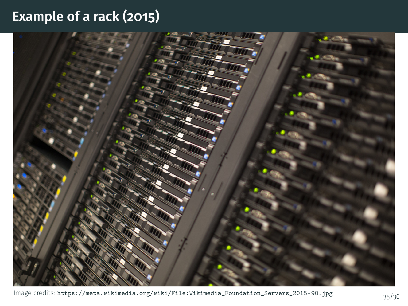#### **Example of a rack (2015)**